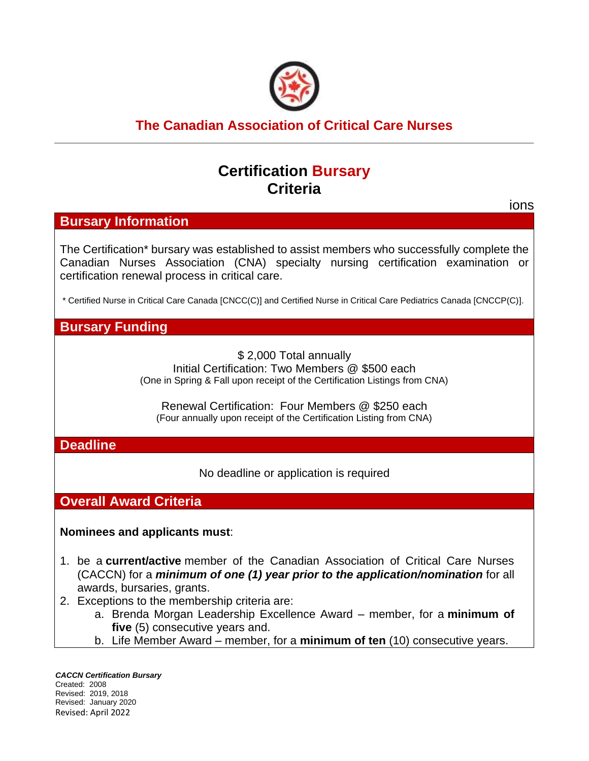

## **The Canadian Association of Critical Care Nurses**

## **Certification Bursary Criteria**

# ions **Bursary Information** The Certification\* bursary was established to assist members who successfully complete the Canadian Nurses Association (CNA) specialty nursing certification examination or certification renewal process in critical care. \* Certified Nurse in Critical Care Canada [CNCC(C)] and Certified Nurse in Critical Care Pediatrics Canada [CNCCP(C)]. **Bursary Funding** \$ 2,000 Total annually Initial Certification: Two Members @ \$500 each (One in Spring & Fall upon receipt of the Certification Listings from CNA) Renewal Certification: Four Members @ \$250 each (Four annually upon receipt of the Certification Listing from CNA) **Deadline** No deadline or application is required **Overall Award Criteria Nominees and applicants must**:

- 1. be a **current/active** member of the Canadian Association of Critical Care Nurses (CACCN) for a *minimum of one (1) year prior to the application/nomination* for all awards, bursaries, grants.
- 2. Exceptions to the membership criteria are:
	- a. Brenda Morgan Leadership Excellence Award member, for a **minimum of five** (5) consecutive years and.
	- b. Life Member Award member, for a **minimum of ten** (10) consecutive years.

*CACCN Certification Bursary* Created: 2008 Revised: 2019, 2018 Revised: January 2020 Revised: April 2022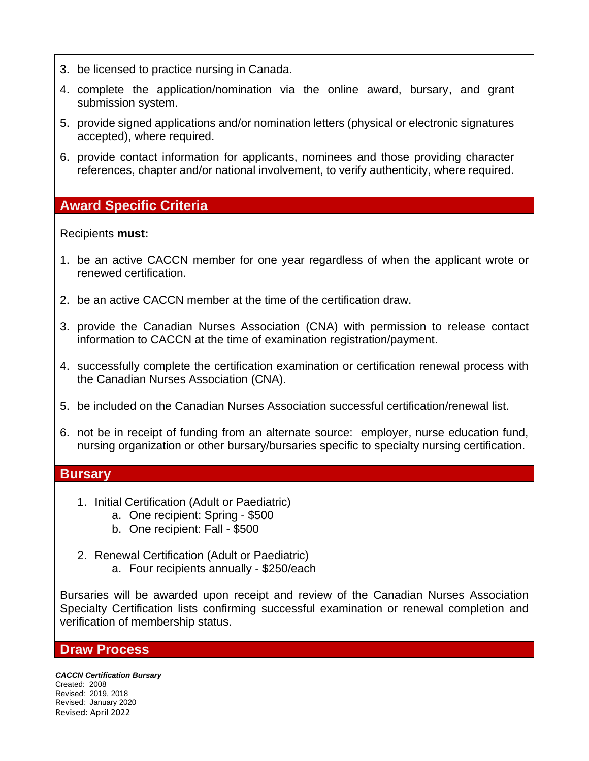- 3. be licensed to practice nursing in Canada.
- 4. complete the application/nomination via the online award, bursary, and grant submission system.
- 5. provide signed applications and/or nomination letters (physical or electronic signatures accepted), where required.
- 6. provide contact information for applicants, nominees and those providing character references, chapter and/or national involvement, to verify authenticity, where required.

## **Award Specific Criteria**

### Recipients **must:**

- 1. be an active CACCN member for one year regardless of when the applicant wrote or renewed certification.
- 2. be an active CACCN member at the time of the certification draw.
- 3. provide the Canadian Nurses Association (CNA) with permission to release contact information to CACCN at the time of examination registration/payment.
- 4. successfully complete the certification examination or certification renewal process with the Canadian Nurses Association (CNA).
- 5. be included on the Canadian Nurses Association successful certification/renewal list.
- 6. not be in receipt of funding from an alternate source: employer, nurse education fund, nursing organization or other bursary/bursaries specific to specialty nursing certification.

#### **Bursary**

- 1. Initial Certification (Adult or Paediatric)
	- a. One recipient: Spring ‐ \$500
	- b. One recipient: Fall \$500
- 2. Renewal Certification (Adult or Paediatric) a. Four recipients annually - \$250/each

Bursaries will be awarded upon receipt and review of the Canadian Nurses Association Specialty Certification lists confirming successful examination or renewal completion and verification of membership status.

#### **Draw Process**

*CACCN Certification Bursary* Created: 2008 Revised: 2019, 2018 Revised: January 2020 Revised: April 2022